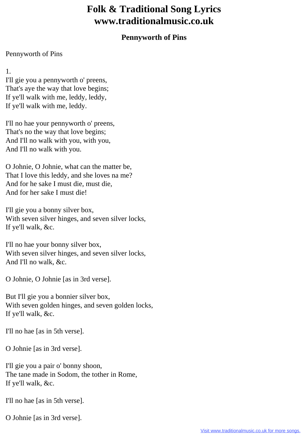## **Folk & Traditional Song Lyrics www.traditionalmusic.co.uk**

## **Pennyworth of Pins**

## Pennyworth of Pins

1.

I'll gie you a pennyworth o' preens, That's aye the way that love begins; If ye'll walk with me, leddy, leddy, If ye'll walk with me, leddy.

I'll no hae your pennyworth o' preens, That's no the way that love begins; And I'll no walk with you, with you, And I'll no walk with you.

O Johnie, O Johnie, what can the matter be, That I love this leddy, and she loves na me? And for he sake I must die, must die, And for her sake I must die!

I'll gie you a bonny silver box, With seven silver hinges, and seven silver locks, If ye'll walk, &c.

I'll no hae your bonny silver box, With seven silver hinges, and seven silver locks, And I'll no walk, &c.

O Johnie, O Johnie [as in 3rd verse].

But I'll gie you a bonnier silver box, With seven golden hinges, and seven golden locks, If ye'll walk, &c.

I'll no hae [as in 5th verse].

O Johnie [as in 3rd verse].

I'll gie you a pair o' bonny shoon, The tane made in Sodom, the tother in Rome, If ye'll walk, &c.

I'll no hae [as in 5th verse].

O Johnie [as in 3rd verse].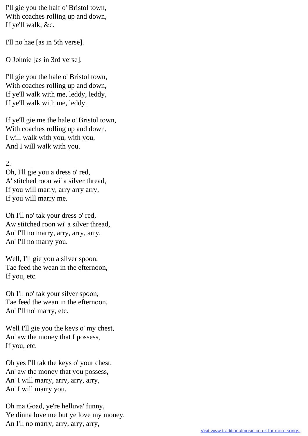I'll gie you the half o' Bristol town, With coaches rolling up and down, If ye'll walk, &c.

I'll no hae [as in 5th verse].

O Johnie [as in 3rd verse].

I'll gie you the hale o' Bristol town, With coaches rolling up and down, If ye'll walk with me, leddy, leddy, If ye'll walk with me, leddy.

If ye'll gie me the hale o' Bristol town, With coaches rolling up and down, I will walk with you, with you, And I will walk with you.

## 2.

Oh, I'll gie you a dress o' red, A' stitched roon wi' a silver thread, If you will marry, arry arry arry, If you will marry me.

Oh I'll no' tak your dress o' red, Aw stitched roon wi' a silver thread, An' I'll no marry, arry, arry, arry, An' I'll no marry you.

Well, I'll gie you a silver spoon, Tae feed the wean in the efternoon, If you, etc.

Oh I'll no' tak your silver spoon, Tae feed the wean in the efternoon, An' I'll no' marry, etc.

Well I'll gie you the keys o' my chest, An' aw the money that I possess, If you, etc.

Oh yes I'll tak the keys o' your chest, An' aw the money that you possess, An' I will marry, arry, arry, arry, An' I will marry you.

Oh ma Goad, ye're helluva' funny, Ye dinna love me but ye love my money, An I'll no marry, arry, arry, arry,